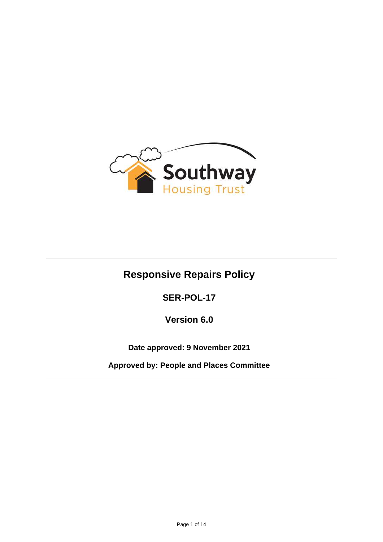

# **Responsive Repairs Policy**

**SER-POL-17**

**Version 6.0**

**Date approved: 9 November 2021**

**Approved by: People and Places Committee**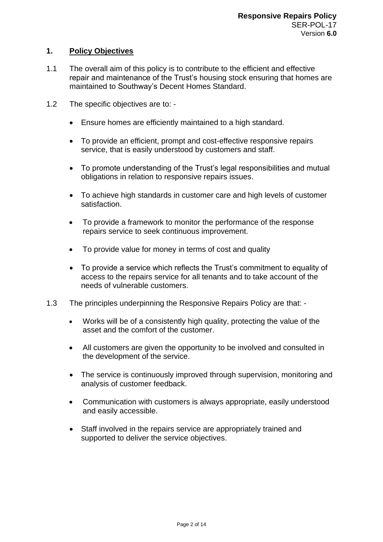# **1. Policy Objectives**

- 1.1 The overall aim of this policy is to contribute to the efficient and effective repair and maintenance of the Trust's housing stock ensuring that homes are maintained to Southway's Decent Homes Standard.
- 1.2 The specific objectives are to:
	- Ensure homes are efficiently maintained to a high standard.
	- To provide an efficient, prompt and cost-effective responsive repairs service, that is easily understood by customers and staff.
	- To promote understanding of the Trust's legal responsibilities and mutual obligations in relation to responsive repairs issues.
	- To achieve high standards in customer care and high levels of customer satisfaction.
	- To provide a framework to monitor the performance of the response repairs service to seek continuous improvement.
	- To provide value for money in terms of cost and quality
	- To provide a service which reflects the Trust's commitment to equality of access to the repairs service for all tenants and to take account of the needs of vulnerable customers.
- 1.3 The principles underpinning the Responsive Repairs Policy are that:
	- Works will be of a consistently high quality, protecting the value of the asset and the comfort of the customer.
	- All customers are given the opportunity to be involved and consulted in the development of the service.
	- The service is continuously improved through supervision, monitoring and analysis of customer feedback.
	- Communication with customers is always appropriate, easily understood and easily accessible.
	- Staff involved in the repairs service are appropriately trained and supported to deliver the service objectives.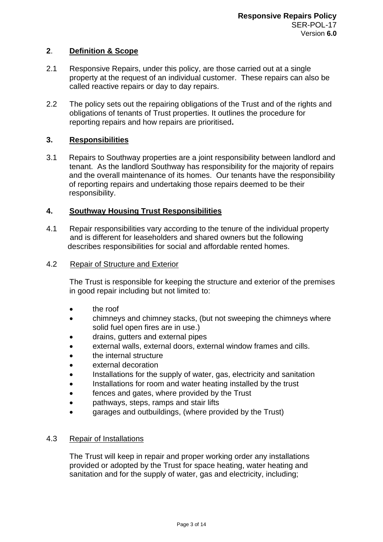## **2**. **Definition & Scope**

- 2.1 Responsive Repairs, under this policy, are those carried out at a single property at the request of an individual customer. These repairs can also be called reactive repairs or day to day repairs.
- 2.2 The policy sets out the repairing obligations of the Trust and of the rights and obligations of tenants of Trust properties. It outlines the procedure for reporting repairs and how repairs are prioritised**.**

## **3. Responsibilities**

3.1 Repairs to Southway properties are a joint responsibility between landlord and tenant. As the landlord Southway has responsibility for the majority of repairs and the overall maintenance of its homes. Our tenants have the responsibility of reporting repairs and undertaking those repairs deemed to be their responsibility.

## **4. Southway Housing Trust Responsibilities**

4.1 Repair responsibilities vary according to the tenure of the individual property and is different for leaseholders and shared owners but the following describes responsibilities for social and affordable rented homes.

#### 4.2 Repair of Structure and Exterior

The Trust is responsible for keeping the structure and exterior of the premises in good repair including but not limited to:

- the roof
- chimneys and chimney stacks, (but not sweeping the chimneys where solid fuel open fires are in use.)
- drains, gutters and external pipes
- external walls, external doors, external window frames and cills.
- the internal structure
- external decoration
- Installations for the supply of water, gas, electricity and sanitation
- Installations for room and water heating installed by the trust
- fences and gates, where provided by the Trust
- pathways, steps, ramps and stair lifts
- garages and outbuildings, (where provided by the Trust)

## 4.3 Repair of Installations

The Trust will keep in repair and proper working order any installations provided or adopted by the Trust for space heating, water heating and sanitation and for the supply of water, gas and electricity, including;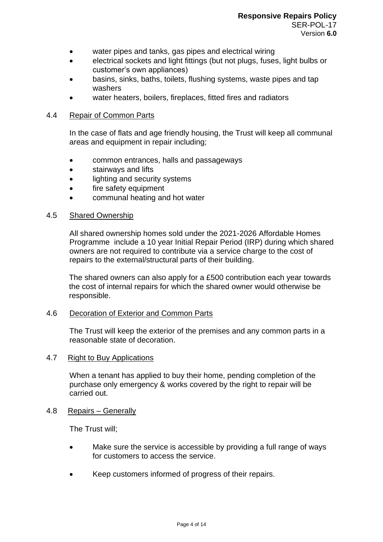- water pipes and tanks, gas pipes and electrical wiring
- electrical sockets and light fittings (but not plugs, fuses, light bulbs or customer's own appliances)
- basins, sinks, baths, toilets, flushing systems, waste pipes and tap washers
- water heaters, boilers, fireplaces, fitted fires and radiators

## 4.4 Repair of Common Parts

In the case of flats and age friendly housing, the Trust will keep all communal areas and equipment in repair including;

- common entrances, halls and passageways
- stairways and lifts
- lighting and security systems
- fire safety equipment
- communal heating and hot water

## 4.5 Shared Ownership

All shared ownership homes sold under the 2021-2026 Affordable Homes Programme include a 10 year Initial Repair Period (IRP) during which shared owners are not required to contribute via a service charge to the cost of repairs to the external/structural parts of their building.

The shared owners can also apply for a £500 contribution each year towards the cost of internal repairs for which the shared owner would otherwise be responsible.

## 4.6 Decoration of Exterior and Common Parts

The Trust will keep the exterior of the premises and any common parts in a reasonable state of decoration.

## 4.7 Right to Buy Applications

When a tenant has applied to buy their home, pending completion of the purchase only emergency & works covered by the right to repair will be carried out.

## 4.8 Repairs – Generally

The Trust will;

- Make sure the service is accessible by providing a full range of ways for customers to access the service.
- Keep customers informed of progress of their repairs.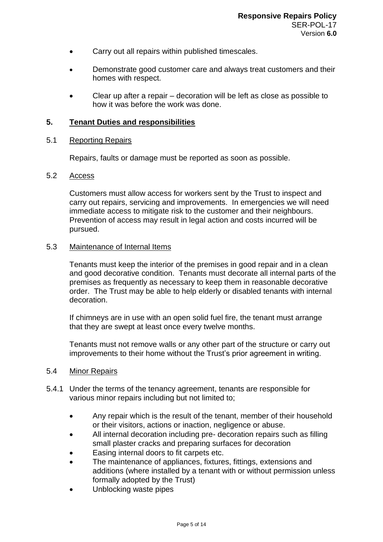- Carry out all repairs within published timescales.
- Demonstrate good customer care and always treat customers and their homes with respect.
- Clear up after a repair decoration will be left as close as possible to how it was before the work was done.

#### **5. Tenant Duties and responsibilities**

#### 5.1 Reporting Repairs

Repairs, faults or damage must be reported as soon as possible.

## 5.2 Access

Customers must allow access for workers sent by the Trust to inspect and carry out repairs, servicing and improvements. In emergencies we will need immediate access to mitigate risk to the customer and their neighbours. Prevention of access may result in legal action and costs incurred will be pursued.

#### 5.3 Maintenance of Internal Items

Tenants must keep the interior of the premises in good repair and in a clean and good decorative condition. Tenants must decorate all internal parts of the premises as frequently as necessary to keep them in reasonable decorative order. The Trust may be able to help elderly or disabled tenants with internal decoration.

If chimneys are in use with an open solid fuel fire, the tenant must arrange that they are swept at least once every twelve months.

Tenants must not remove walls or any other part of the structure or carry out improvements to their home without the Trust's prior agreement in writing.

## 5.4 Minor Repairs

- 5.4.1 Under the terms of the tenancy agreement, tenants are responsible for various minor repairs including but not limited to;
	- Any repair which is the result of the tenant, member of their household or their visitors, actions or inaction, negligence or abuse.
	- All internal decoration including pre- decoration repairs such as filling small plaster cracks and preparing surfaces for decoration
	- Easing internal doors to fit carpets etc.
	- The maintenance of appliances, fixtures, fittings, extensions and additions (where installed by a tenant with or without permission unless formally adopted by the Trust)
	- Unblocking waste pipes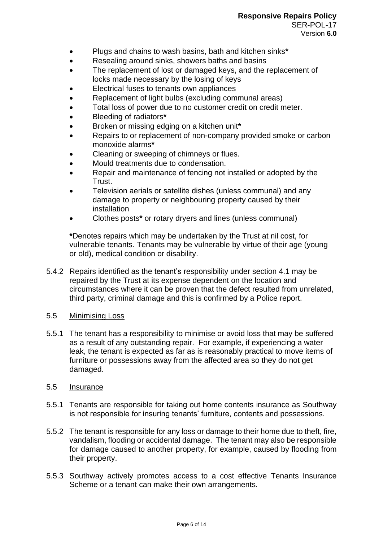- Plugs and chains to wash basins, bath and kitchen sinks**\***
- Resealing around sinks, showers baths and basins
- The replacement of lost or damaged keys, and the replacement of locks made necessary by the losing of keys
- Electrical fuses to tenants own appliances
- Replacement of light bulbs (excluding communal areas)
- Total loss of power due to no customer credit on credit meter.
- Bleeding of radiators**\***
- Broken or missing edging on a kitchen unit**\***
- Repairs to or replacement of non-company provided smoke or carbon monoxide alarms**\***
- Cleaning or sweeping of chimneys or flues.
- Mould treatments due to condensation.
- Repair and maintenance of fencing not installed or adopted by the Trust.
- Television aerials or satellite dishes (unless communal) and any damage to property or neighbouring property caused by their installation
- Clothes posts**\*** or rotary dryers and lines (unless communal)

**\***Denotes repairs which may be undertaken by the Trust at nil cost, for vulnerable tenants. Tenants may be vulnerable by virtue of their age (young or old), medical condition or disability.

- 5.4.2 Repairs identified as the tenant's responsibility under section 4.1 may be repaired by the Trust at its expense dependent on the location and circumstances where it can be proven that the defect resulted from unrelated, third party, criminal damage and this is confirmed by a Police report.
- 5.5 Minimising Loss
- 5.5.1 The tenant has a responsibility to minimise or avoid loss that may be suffered as a result of any outstanding repair. For example, if experiencing a water leak, the tenant is expected as far as is reasonably practical to move items of furniture or possessions away from the affected area so they do not get damaged.

## 5.5 Insurance

- 5.5.1 Tenants are responsible for taking out home contents insurance as Southway is not responsible for insuring tenants' furniture, contents and possessions.
- 5.5.2 The tenant is responsible for any loss or damage to their home due to theft, fire, vandalism, flooding or accidental damage. The tenant may also be responsible for damage caused to another property, for example, caused by flooding from their property.
- 5.5.3 Southway actively promotes access to a cost effective Tenants Insurance Scheme or a tenant can make their own arrangements.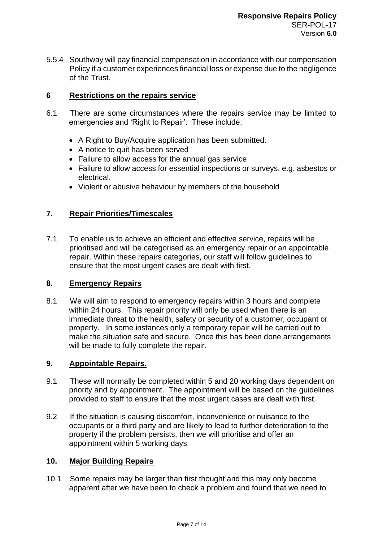5.5.4 Southway will pay financial compensation in accordance with our compensation Policy if a customer experiences financial loss or expense due to the negligence of the Trust.

## **6 Restrictions on the repairs service**

- 6.1 There are some circumstances where the repairs service may be limited to emergencies and 'Right to Repair'. These include;
	- A Right to Buy/Acquire application has been submitted.
	- A notice to quit has been served
	- Failure to allow access for the annual gas service
	- Failure to allow access for essential inspections or surveys, e.g. asbestos or electrical.
	- Violent or abusive behaviour by members of the household

## **7. Repair Priorities/Timescales**

7.1 To enable us to achieve an efficient and effective service, repairs will be prioritised and will be categorised as an emergency repair or an appointable repair. Within these repairs categories, our staff will follow guidelines to ensure that the most urgent cases are dealt with first.

## **8. Emergency Repairs**

8.1 We will aim to respond to emergency repairs within 3 hours and complete within 24 hours. This repair priority will only be used when there is an immediate threat to the health, safety or security of a customer, occupant or property. In some instances only a temporary repair will be carried out to make the situation safe and secure. Once this has been done arrangements will be made to fully complete the repair.

## **9. Appointable Repairs.**

- 9.1 These will normally be completed within 5 and 20 working days dependent on priority and by appointment. The appointment will be based on the guidelines provided to staff to ensure that the most urgent cases are dealt with first.
- 9.2 If the situation is causing discomfort, inconvenience or nuisance to the occupants or a third party and are likely to lead to further deterioration to the property if the problem persists, then we will prioritise and offer an appointment within 5 working days

## **10. Major Building Repairs**

10.1 Some repairs may be larger than first thought and this may only become apparent after we have been to check a problem and found that we need to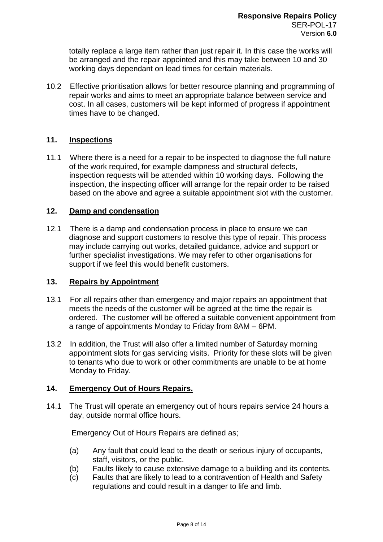totally replace a large item rather than just repair it. In this case the works will be arranged and the repair appointed and this may take between 10 and 30 working days dependant on lead times for certain materials.

10.2 Effective prioritisation allows for better resource planning and programming of repair works and aims to meet an appropriate balance between service and cost. In all cases, customers will be kept informed of progress if appointment times have to be changed.

## **11. Inspections**

11.1 Where there is a need for a repair to be inspected to diagnose the full nature of the work required, for example dampness and structural defects, inspection requests will be attended within 10 working days. Following the inspection, the inspecting officer will arrange for the repair order to be raised based on the above and agree a suitable appointment slot with the customer.

## **12. Damp and condensation**

12.1 There is a damp and condensation process in place to ensure we can diagnose and support customers to resolve this type of repair. This process may include carrying out works, detailed guidance, advice and support or further specialist investigations. We may refer to other organisations for support if we feel this would benefit customers.

## **13. Repairs by Appointment**

- 13.1 For all repairs other than emergency and major repairs an appointment that meets the needs of the customer will be agreed at the time the repair is ordered. The customer will be offered a suitable convenient appointment from a range of appointments Monday to Friday from 8AM – 6PM.
- 13.2 In addition, the Trust will also offer a limited number of Saturday morning appointment slots for gas servicing visits. Priority for these slots will be given to tenants who due to work or other commitments are unable to be at home Monday to Friday.

## **14. Emergency Out of Hours Repairs.**

14.1 The Trust will operate an emergency out of hours repairs service 24 hours a day, outside normal office hours.

Emergency Out of Hours Repairs are defined as;

- (a) Any fault that could lead to the death or serious injury of occupants, staff, visitors, or the public.
- (b) Faults likely to cause extensive damage to a building and its contents.
- (c) Faults that are likely to lead to a contravention of Health and Safety regulations and could result in a danger to life and limb.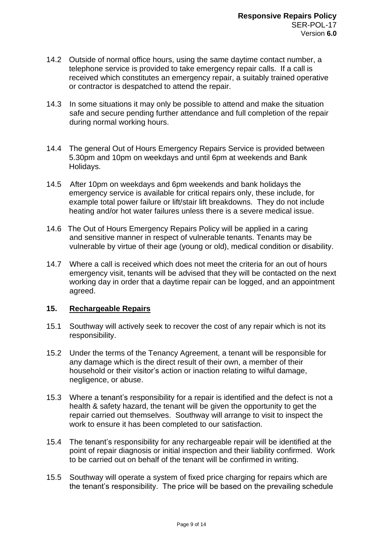- 14.2 Outside of normal office hours, using the same daytime contact number, a telephone service is provided to take emergency repair calls. If a call is received which constitutes an emergency repair, a suitably trained operative or contractor is despatched to attend the repair.
- 14.3 In some situations it may only be possible to attend and make the situation safe and secure pending further attendance and full completion of the repair during normal working hours.
- 14.4 The general Out of Hours Emergency Repairs Service is provided between 5.30pm and 10pm on weekdays and until 6pm at weekends and Bank Holidays.
- 14.5 After 10pm on weekdays and 6pm weekends and bank holidays the emergency service is available for critical repairs only, these include, for example total power failure or lift/stair lift breakdowns. They do not include heating and/or hot water failures unless there is a severe medical issue.
- 14.6 The Out of Hours Emergency Repairs Policy will be applied in a caring and sensitive manner in respect of vulnerable tenants. Tenants may be vulnerable by virtue of their age (young or old), medical condition or disability.
- 14.7 Where a call is received which does not meet the criteria for an out of hours emergency visit, tenants will be advised that they will be contacted on the next working day in order that a daytime repair can be logged, and an appointment agreed.

## **15. Rechargeable Repairs**

- 15.1 Southway will actively seek to recover the cost of any repair which is not its responsibility.
- 15.2 Under the terms of the Tenancy Agreement, a tenant will be responsible for any damage which is the direct result of their own, a member of their household or their visitor's action or inaction relating to wilful damage, negligence, or abuse.
- 15.3 Where a tenant's responsibility for a repair is identified and the defect is not a health & safety hazard, the tenant will be given the opportunity to get the repair carried out themselves. Southway will arrange to visit to inspect the work to ensure it has been completed to our satisfaction.
- 15.4 The tenant's responsibility for any rechargeable repair will be identified at the point of repair diagnosis or initial inspection and their liability confirmed. Work to be carried out on behalf of the tenant will be confirmed in writing.
- 15.5 Southway will operate a system of fixed price charging for repairs which are the tenant's responsibility. The price will be based on the prevailing schedule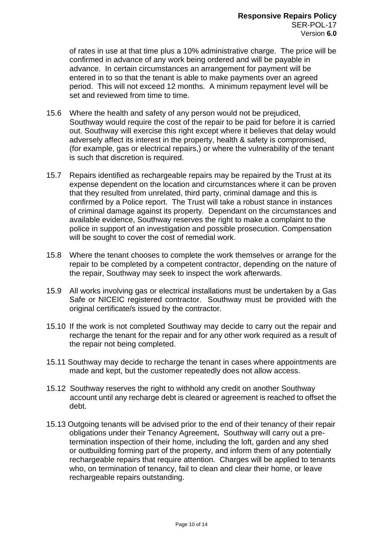of rates in use at that time plus a 10% administrative charge. The price will be confirmed in advance of any work being ordered and will be payable in advance. In certain circumstances an arrangement for payment will be entered in to so that the tenant is able to make payments over an agreed period. This will not exceed 12 months. A minimum repayment level will be set and reviewed from time to time.

- 15.6 Where the health and safety of any person would not be prejudiced, Southway would require the cost of the repair to be paid for before it is carried out. Southway will exercise this right except where it believes that delay would adversely affect its interest in the property, health & safety is compromised, (for example, gas or electrical repairs,) or where the vulnerability of the tenant is such that discretion is required.
- 15.7 Repairs identified as rechargeable repairs may be repaired by the Trust at its expense dependent on the location and circumstances where it can be proven that they resulted from unrelated, third party, criminal damage and this is confirmed by a Police report. The Trust will take a robust stance in instances of criminal damage against its property. Dependant on the circumstances and available evidence, Southway reserves the right to make a complaint to the police in support of an investigation and possible prosecution. Compensation will be sought to cover the cost of remedial work.
- 15.8 Where the tenant chooses to complete the work themselves or arrange for the repair to be completed by a competent contractor, depending on the nature of the repair, Southway may seek to inspect the work afterwards.
- 15.9 All works involving gas or electrical installations must be undertaken by a Gas Safe or NICEIC registered contractor. Southway must be provided with the original certificate/s issued by the contractor.
- 15.10 If the work is not completed Southway may decide to carry out the repair and recharge the tenant for the repair and for any other work required as a result of the repair not being completed.
- 15.11 Southway may decide to recharge the tenant in cases where appointments are made and kept, but the customer repeatedly does not allow access.
- 15.12 Southway reserves the right to withhold any credit on another Southway account until any recharge debt is cleared or agreement is reached to offset the debt.
- 15.13 Outgoing tenants will be advised prior to the end of their tenancy of their repair obligations under their Tenancy Agreement**.** Southway will carry out a pretermination inspection of their home, including the loft, garden and any shed or outbuilding forming part of the property, and inform them of any potentially rechargeable repairs that require attention. Charges will be applied to tenants who, on termination of tenancy, fail to clean and clear their home, or leave rechargeable repairs outstanding.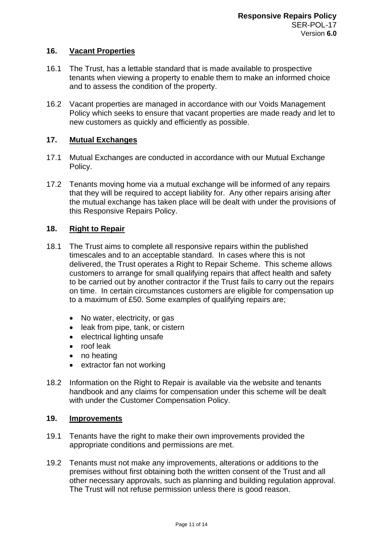## **16. Vacant Properties**

- 16.1 The Trust, has a lettable standard that is made available to prospective tenants when viewing a property to enable them to make an informed choice and to assess the condition of the property.
- 16.2 Vacant properties are managed in accordance with our Voids Management Policy which seeks to ensure that vacant properties are made ready and let to new customers as quickly and efficiently as possible.

## **17. Mutual Exchanges**

- 17.1 Mutual Exchanges are conducted in accordance with our Mutual Exchange Policy.
- 17.2 Tenants moving home via a mutual exchange will be informed of any repairs that they will be required to accept liability for. Any other repairs arising after the mutual exchange has taken place will be dealt with under the provisions of this Responsive Repairs Policy.

# **18. Right to Repair**

- 18.1 The Trust aims to complete all responsive repairs within the published timescales and to an acceptable standard. In cases where this is not delivered, the Trust operates a Right to Repair Scheme. This scheme allows customers to arrange for small qualifying repairs that affect health and safety to be carried out by another contractor if the Trust fails to carry out the repairs on time. In certain circumstances customers are eligible for compensation up to a maximum of £50. Some examples of qualifying repairs are;
	- No water, electricity, or gas
	- leak from pipe, tank, or cistern
	- electrical lighting unsafe
	- roof leak
	- no heating
	- extractor fan not working
- 18.2 Information on the Right to Repair is available via the website and tenants handbook and any claims for compensation under this scheme will be dealt with under the Customer Compensation Policy.

## **19. Improvements**

- 19.1 Tenants have the right to make their own improvements provided the appropriate conditions and permissions are met.
- 19.2 Tenants must not make any improvements, alterations or additions to the premises without first obtaining both the written consent of the Trust and all other necessary approvals, such as planning and building regulation approval. The Trust will not refuse permission unless there is good reason.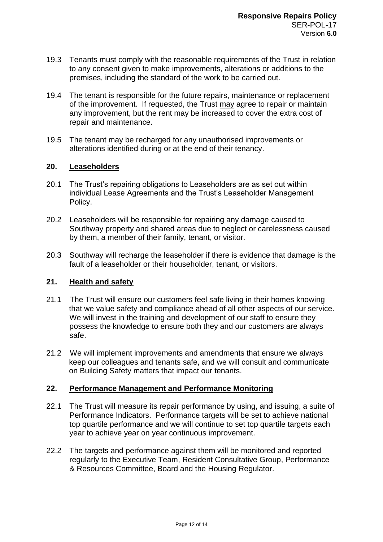- 19.3 Tenants must comply with the reasonable requirements of the Trust in relation to any consent given to make improvements, alterations or additions to the premises, including the standard of the work to be carried out.
- 19.4 The tenant is responsible for the future repairs, maintenance or replacement of the improvement. If requested, the Trust may agree to repair or maintain any improvement, but the rent may be increased to cover the extra cost of repair and maintenance.
- 19.5 The tenant may be recharged for any unauthorised improvements or alterations identified during or at the end of their tenancy.

## **20. Leaseholders**

- 20.1 The Trust's repairing obligations to Leaseholders are as set out within individual Lease Agreements and the Trust's Leaseholder Management Policy.
- 20.2 Leaseholders will be responsible for repairing any damage caused to Southway property and shared areas due to neglect or carelessness caused by them, a member of their family, tenant, or visitor.
- 20.3 Southway will recharge the leaseholder if there is evidence that damage is the fault of a leaseholder or their householder, tenant, or visitors.

## **21. Health and safety**

- 21.1 The Trust will ensure our customers feel safe living in their homes knowing that we value safety and compliance ahead of all other aspects of our service. We will invest in the training and development of our staff to ensure they possess the knowledge to ensure both they and our customers are always safe.
- 21.2 We will implement improvements and amendments that ensure we always keep our colleagues and tenants safe, and we will consult and communicate on Building Safety matters that impact our tenants.

## **22. Performance Management and Performance Monitoring**

- 22.1 The Trust will measure its repair performance by using, and issuing, a suite of Performance Indicators. Performance targets will be set to achieve national top quartile performance and we will continue to set top quartile targets each year to achieve year on year continuous improvement.
- 22.2 The targets and performance against them will be monitored and reported regularly to the Executive Team, Resident Consultative Group, Performance & Resources Committee, Board and the Housing Regulator.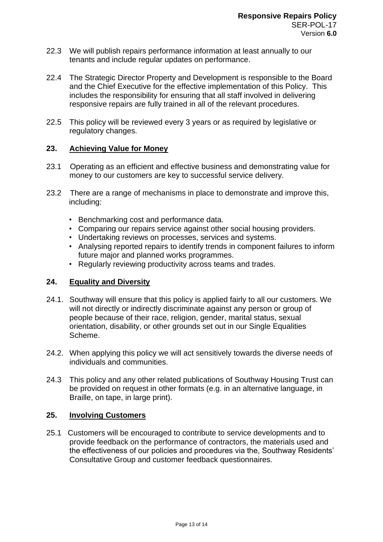- 22.3 We will publish repairs performance information at least annually to our tenants and include regular updates on performance.
- 22.4 The Strategic Director Property and Development is responsible to the Board and the Chief Executive for the effective implementation of this Policy. This includes the responsibility for ensuring that all staff involved in delivering responsive repairs are fully trained in all of the relevant procedures.
- 22.5 This policy will be reviewed every 3 years or as required by legislative or regulatory changes.

## **23. Achieving Value for Money**

- 23.1 Operating as an efficient and effective business and demonstrating value for money to our customers are key to successful service delivery.
- 23.2 There are a range of mechanisms in place to demonstrate and improve this, including:
	- Benchmarking cost and performance data.
	- Comparing our repairs service against other social housing providers.
	- Undertaking reviews on processes, services and systems.
	- Analysing reported repairs to identify trends in component failures to inform future major and planned works programmes.
	- Regularly reviewing productivity across teams and trades.

# **24. Equality and Diversity**

- 24.1. Southway will ensure that this policy is applied fairly to all our customers. We will not directly or indirectly discriminate against any person or group of people because of their race, religion, gender, marital status, sexual orientation, disability, or other grounds set out in our Single Equalities Scheme.
- 24.2. When applying this policy we will act sensitively towards the diverse needs of individuals and communities.
- 24.3 This policy and any other related publications of Southway Housing Trust can be provided on request in other formats (e.g. in an alternative language, in Braille, on tape, in large print).

# **25. Involving Customers**

25.1 Customers will be encouraged to contribute to service developments and to provide feedback on the performance of contractors, the materials used and the effectiveness of our policies and procedures via the, Southway Residents' Consultative Group and customer feedback questionnaires.